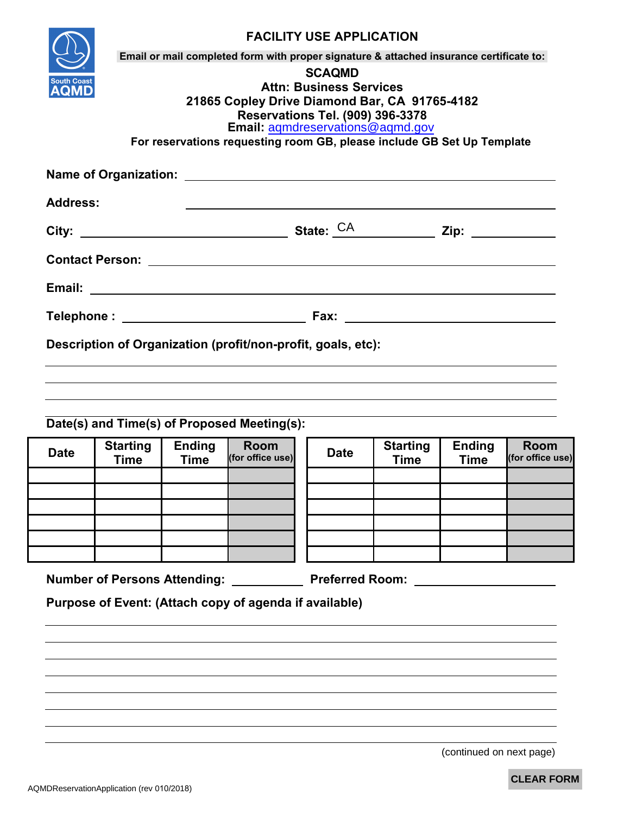|             | <b>Address:</b>                |                              |                                                                           |             |                                |                              |                                 |
|-------------|--------------------------------|------------------------------|---------------------------------------------------------------------------|-------------|--------------------------------|------------------------------|---------------------------------|
|             |                                |                              |                                                                           |             |                                |                              |                                 |
|             |                                |                              |                                                                           |             |                                |                              |                                 |
|             |                                |                              |                                                                           |             |                                |                              |                                 |
|             |                                |                              |                                                                           |             |                                |                              |                                 |
|             |                                |                              | Description of Organization (profit/non-profit, goals, etc):              |             |                                |                              |                                 |
|             |                                |                              |                                                                           |             |                                |                              |                                 |
|             |                                |                              |                                                                           |             |                                |                              |                                 |
|             |                                |                              |                                                                           |             |                                |                              |                                 |
|             |                                |                              | Date(s) and Time(s) of Proposed Meeting(s):                               |             |                                |                              |                                 |
| <b>Date</b> | <b>Starting</b><br><b>Time</b> | <b>Ending</b><br><b>Time</b> | <b>Room</b><br>(for office use)                                           | <b>Date</b> | <b>Starting</b><br><b>Time</b> | <b>Ending</b><br><b>Time</b> | <b>Room</b><br>(for office use) |
|             |                                |                              |                                                                           |             |                                |                              |                                 |
|             |                                |                              |                                                                           |             |                                |                              |                                 |
|             |                                |                              |                                                                           |             |                                |                              |                                 |
|             |                                |                              |                                                                           |             |                                |                              |                                 |
|             |                                |                              |                                                                           |             |                                |                              |                                 |
|             |                                |                              |                                                                           |             |                                |                              |                                 |
|             |                                |                              | Number of Persons Attending: _____________ Preferred Room: ______________ |             |                                |                              |                                 |

(continued on next page)